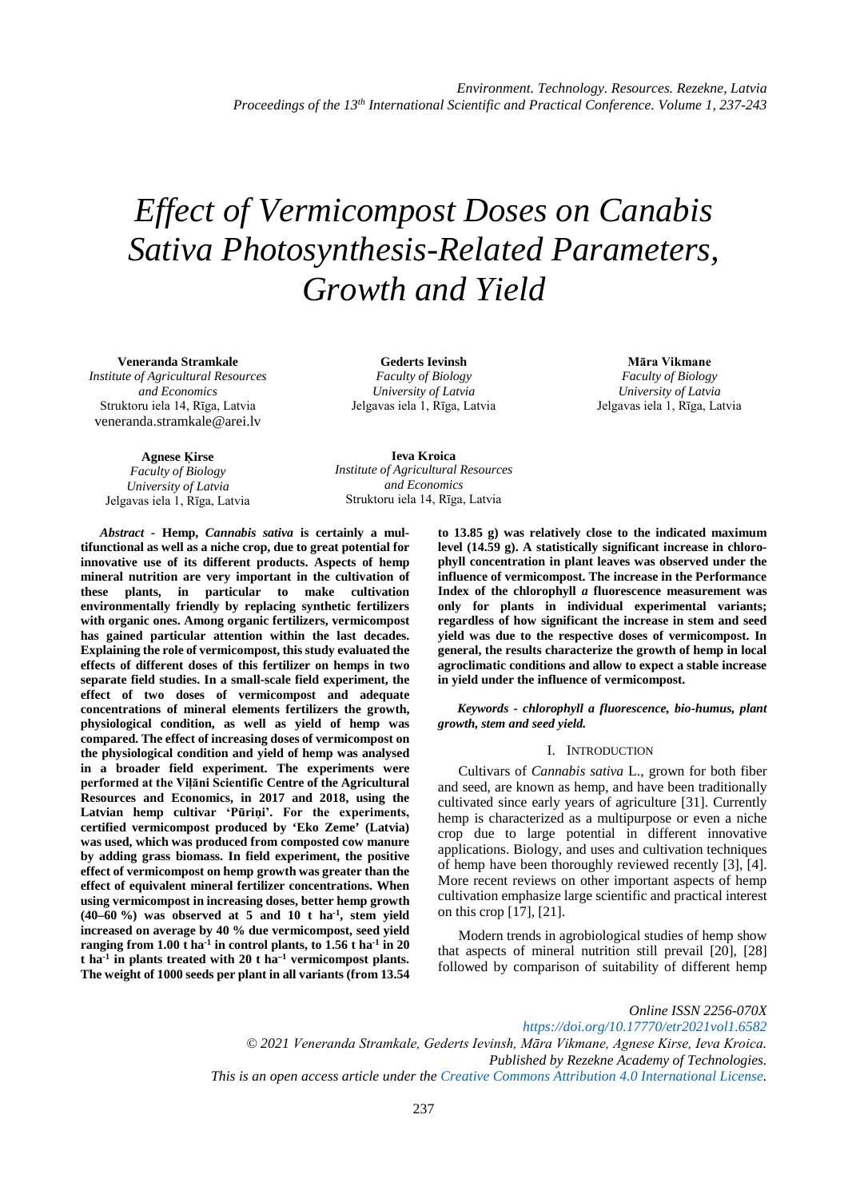# *Effect of Vermicompost Doses on Canabis Sativa Photosynthesis-Related Parameters, Growth and Yield*

**Veneranda Stramkale** *Institute of Agricultural Resources and Economics* Struktoru iela 14, Rīga, Latvia

veneranda.stramkale@arei.lv

**Gederts Ievinsh** *Faculty of Biology University of Latvia* Jelgavas iela 1, Rīga, Latvia

**Māra Vikmane** *Faculty of Biology University of Latvia* Jelgavas iela 1, Rīga, Latvia

**Agnese Ķirse** *Faculty of Biology University of Latvia* Jelgavas iela 1, Rīga, Latvia

**Ieva Kroica** *Institute of Agricultural Resources and Economics* Struktoru iela 14, Rīga, Latvia

*Abstract* **- Hemp,** *Cannabis sativa* **is certainly a multifunctional as well as a niche crop, due to great potential for innovative use of its different products. Aspects of hemp mineral nutrition are very important in the cultivation of these plants, in particular to make cultivation environmentally friendly by replacing synthetic fertilizers with organic ones. Among organic fertilizers, vermicompost has gained particular attention within the last decades. Explaining the role of vermicompost, this study evaluated the effects of different doses of this fertilizer on hemps in two separate field studies. In a small-scale field experiment, the effect of two doses of vermicompost and adequate concentrations of mineral elements fertilizers the growth, physiological condition, as well as yield of hemp was compared. The effect of increasing doses of vermicompost on the physiological condition and yield of hemp was analysed in a broader field experiment. The experiments were performed at the Viļāni Scientific Centre of the Agricultural Resources and Economics, in 2017 and 2018, using the Latvian hemp cultivar 'Pūriņi'. For the experiments, certified vermicompost produced by 'Eko Zeme' (Latvia) was used, which was produced from composted cow manure by adding grass biomass. In field experiment, the positive effect of vermicompost on hemp growth was greater than the effect of equivalent mineral fertilizer concentrations. When using vermicompost in increasing doses, better hemp growth (40–60 %) was observed at 5 and 10 t ha-1, stem yield increased on average by 40 % due vermicompost, seed yield ranging from 1.00 t ha-1 in control plants, to 1.56 t ha-1 in 20 t ha-1 in plants treated with 20 t ha–1 vermicompost plants. The weight of 1000 seeds per plant in all variants (from 13.54** 

**to 13.85 g) was relatively close to the indicated maximum level (14.59 g). A statistically significant increase in chlorophyll concentration in plant leaves was observed under the influence of vermicompost. The increase in the Performance Index of the chlorophyll** *a* **fluorescence measurement was only for plants in individual experimental variants; regardless of how significant the increase in stem and seed yield was due to the respective doses of vermicompost. In general, the results characterize the growth of hemp in local agroclimatic conditions and allow to expect a stable increase in yield under the influence of vermicompost.**

*Keywords - chlorophyll a fluorescence, bio-humus, plant growth, stem and seed yield.*

# I. INTRODUCTION

Cultivars of *Cannabis sativa* L., grown for both fiber and seed, are known as hemp, and have been traditionally cultivated since early years of agriculture [31]. Currently hemp is characterized as a multipurpose or even a niche crop due to large potential in different innovative applications. Biology, and uses and cultivation techniques of hemp have been thoroughly reviewed recently [3], [4]. More recent reviews on other important aspects of hemp cultivation emphasize large scientific and practical interest on this crop [17], [21].

Modern trends in agrobiological studies of hemp show that aspects of mineral nutrition still prevail [20], [28] followed by comparison of suitability of different hemp

*Online ISSN 2256-070X <https://doi.org/10.17770/etr2021vol1.6582> © 2021 Veneranda Stramkale, Gederts Ievinsh, Māra Vikmane, Agnese Kirse, Ieva Kroica. Published by Rezekne Academy of Technologies. This is an open access article under the [Creative Commons Attribution 4.0 International License.](https://creativecommons.org/licenses/by/4.0/)*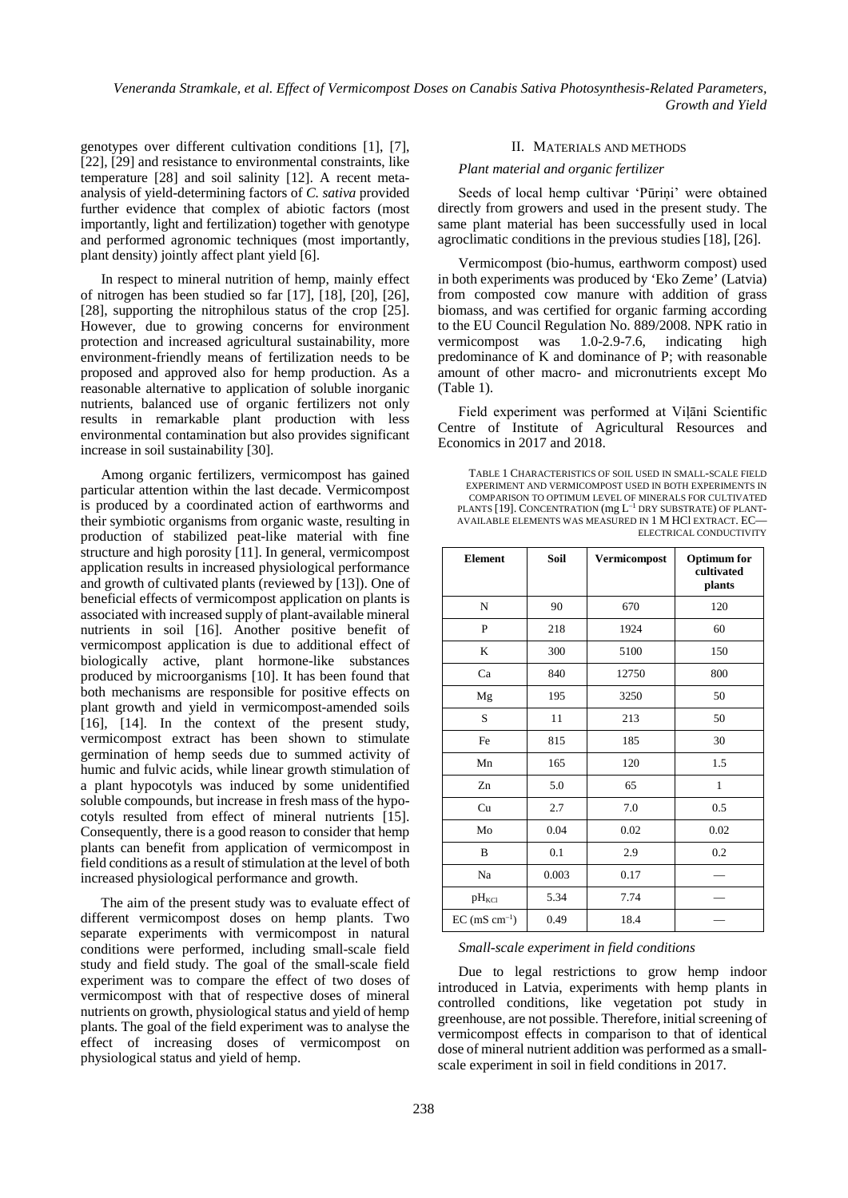genotypes over different cultivation conditions [1], [7], [22], [29] and resistance to environmental constraints, like temperature [28] and soil salinity [12]. A recent metaanalysis of yield-determining factors of *C. sativa* provided further evidence that complex of abiotic factors (most importantly, light and fertilization) together with genotype and performed agronomic techniques (most importantly, plant density) jointly affect plant yield [6].

In respect to mineral nutrition of hemp, mainly effect of nitrogen has been studied so far [17], [18], [20], [26], [28], supporting the nitrophilous status of the crop [25]. However, due to growing concerns for environment protection and increased agricultural sustainability, more environment-friendly means of fertilization needs to be proposed and approved also for hemp production. As a reasonable alternative to application of soluble inorganic nutrients, balanced use of organic fertilizers not only results in remarkable plant production with less environmental contamination but also provides significant increase in soil sustainability [30].

Among organic fertilizers, vermicompost has gained particular attention within the last decade. Vermicompost is produced by a coordinated action of earthworms and their symbiotic organisms from organic waste, resulting in production of stabilized peat-like material with fine structure and high porosity [11]. In general, vermicompost application results in increased physiological performance and growth of cultivated plants (reviewed by [13]). One of beneficial effects of vermicompost application on plants is associated with increased supply of plant-available mineral nutrients in soil [16]. Another positive benefit of vermicompost application is due to additional effect of biologically active, plant hormone-like substances produced by microorganisms [10]. It has been found that both mechanisms are responsible for positive effects on plant growth and yield in vermicompost-amended soils [16], [14]. In the context of the present study, vermicompost extract has been shown to stimulate germination of hemp seeds due to summed activity of humic and fulvic acids, while linear growth stimulation of a plant hypocotyls was induced by some unidentified soluble compounds, but increase in fresh mass of the hypocotyls resulted from effect of mineral nutrients [15]. Consequently, there is a good reason to consider that hemp plants can benefit from application of vermicompost in field conditions as a result of stimulation at the level of both increased physiological performance and growth.

The aim of the present study was to evaluate effect of different vermicompost doses on hemp plants. Two separate experiments with vermicompost in natural conditions were performed, including small-scale field study and field study. The goal of the small-scale field experiment was to compare the effect of two doses of vermicompost with that of respective doses of mineral nutrients on growth, physiological status and yield of hemp plants. The goal of the field experiment was to analyse the effect of increasing doses of vermicompost on physiological status and yield of hemp.

#### II. MATERIALS AND METHODS

## *Plant material and organic fertilizer*

Seeds of local hemp cultivar 'Pūriņi' were obtained directly from growers and used in the present study. The same plant material has been successfully used in local agroclimatic conditions in the previous studies [18], [26].

Vermicompost (bio-humus, earthworm compost) used in both experiments was produced by 'Eko Zeme' (Latvia) from composted cow manure with addition of grass biomass, and was certified for organic farming according to the EU Council Regulation No. 889/2008. NPK ratio in<br>vermicompost was 1.0-2.9-7.6, indicating high vermicompost was 1.0-2.9-7.6, indicating high predominance of K and dominance of P; with reasonable amount of other macro- and micronutrients except Mo (Table 1).

Field experiment was performed at Viļāni Scientific Centre of Institute of Agricultural Resources and Economics in 2017 and 2018.

TABLE 1 CHARACTERISTICS OF SOIL USED IN SMALL-SCALE FIELD EXPERIMENT AND VERMICOMPOST USED IN BOTH EXPERIMENTS IN COMPARISON TO OPTIMUM LEVEL OF MINERALS FOR CULTIVATED PLANTS [19]. CONCENTRATION (mg L–1 DRY SUBSTRATE) OF PLANT-AVAILABLE ELEMENTS WAS MEASURED IN 1 M HCl EXTRACT. EC— ELECTRICAL CONDUCTIVITY

| <b>Element</b>       | Soil  | Vermicompost | <b>Optimum</b> for<br>cultivated<br>plants |
|----------------------|-------|--------------|--------------------------------------------|
| N                    | 90    | 670          | 120                                        |
| P                    | 218   | 1924         | 60                                         |
| K                    | 300   | 5100         | 150                                        |
| Ca                   | 840   | 12750        | 800                                        |
| Mg                   | 195   | 3250         | 50                                         |
| S                    | 11    | 213          | 50                                         |
| Fe                   | 815   | 185          | 30                                         |
| Mn                   | 165   | 120          | 1.5                                        |
| Zn                   | 5.0   | 65           | $\mathbf{1}$                               |
| Cu                   | 2.7   | 7.0          | 0.5                                        |
| Mo                   | 0.04  | 0.02         | 0.02                                       |
| B                    | 0.1   | 2.9          | 0.2                                        |
| Na                   | 0.003 | 0.17         |                                            |
| $pH_{\text{KCl}}$    | 5.34  | 7.74         |                                            |
| $EC$ (mS $cm^{-1}$ ) | 0.49  | 18.4         |                                            |

#### *Small-scale experiment in field conditions*

Due to legal restrictions to grow hemp indoor introduced in Latvia, experiments with hemp plants in controlled conditions, like vegetation pot study in greenhouse, are not possible. Therefore, initial screening of vermicompost effects in comparison to that of identical dose of mineral nutrient addition was performed as a smallscale experiment in soil in field conditions in 2017.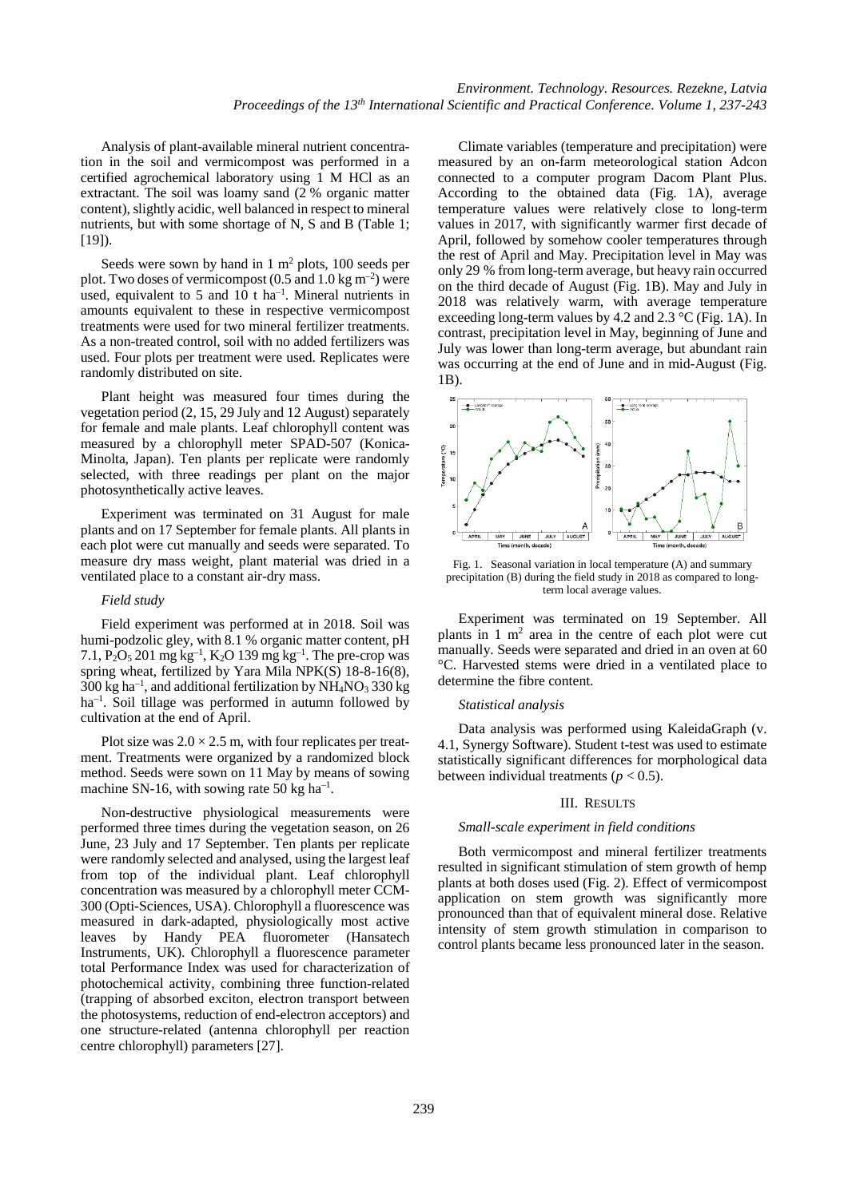Analysis of plant-available mineral nutrient concentration in the soil and vermicompost was performed in a certified agrochemical laboratory using 1 M HCl as an extractant. The soil was loamy sand (2 % organic matter content), slightly acidic, well balanced in respect to mineral nutrients, but with some shortage of N, S and B (Table 1;  $[19]$ ).

Seeds were sown by hand in  $1 \text{ m}^2$  plots, 100 seeds per plot. Two doses of vermicompost  $(0.5 \text{ and } 1.0 \text{ kg m}^{-2})$  were used, equivalent to 5 and 10  $t$  ha<sup>-1</sup>. Mineral nutrients in amounts equivalent to these in respective vermicompost treatments were used for two mineral fertilizer treatments. As a non-treated control, soil with no added fertilizers was used. Four plots per treatment were used. Replicates were randomly distributed on site.

Plant height was measured four times during the vegetation period (2, 15, 29 July and 12 August) separately for female and male plants. Leaf chlorophyll content was measured by a chlorophyll meter SPAD-507 (Konica-Minolta, Japan). Ten plants per replicate were randomly selected, with three readings per plant on the major photosynthetically active leaves.

Experiment was terminated on 31 August for male plants and on 17 September for female plants. All plants in each plot were cut manually and seeds were separated. To measure dry mass weight, plant material was dried in a ventilated place to a constant air-dry mass.

## *Field study*

Field experiment was performed at in 2018. Soil was humi-podzolic gley, with 8.1 % organic matter content, pH 7.1,  $P_2O_5 201$  mg kg<sup>-1</sup>, K<sub>2</sub>O 139 mg kg<sup>-1</sup>. The pre-crop was spring wheat, fertilized by Yara Mila NPK(S) 18-8-16(8), 300 kg ha<sup>-1</sup>, and additional fertilization by  $NH_4NO_3$  330 kg ha–1 . Soil tillage was performed in autumn followed by cultivation at the end of April.

Plot size was  $2.0 \times 2.5$  m, with four replicates per treatment. Treatments were organized by a randomized block method. Seeds were sown on 11 May by means of sowing machine SN-16, with sowing rate 50 kg ha<sup>-1</sup>.

Non-destructive physiological measurements were performed three times during the vegetation season, on 26 June, 23 July and 17 September. Ten plants per replicate were randomly selected and analysed, using the largest leaf from top of the individual plant. Leaf chlorophyll concentration was measured by a chlorophyll meter CCM-300 (Opti-Sciences, USA). Chlorophyll a fluorescence was measured in dark-adapted, physiologically most active leaves by Handy PEA fluorometer (Hansatech Instruments, UK). Chlorophyll a fluorescence parameter total Performance Index was used for characterization of photochemical activity, combining three function-related (trapping of absorbed exciton, electron transport between the photosystems, reduction of end-electron acceptors) and one structure-related (antenna chlorophyll per reaction centre chlorophyll) parameters [27].

Climate variables (temperature and precipitation) were measured by an on-farm meteorological station Adcon connected to a computer program Dacom Plant Plus. According to the obtained data (Fig. 1A), average temperature values were relatively close to long-term values in 2017, with significantly warmer first decade of April, followed by somehow cooler temperatures through the rest of April and May. Precipitation level in May was only 29 % from long-term average, but heavy rain occurred on the third decade of August (Fig. 1B). May and July in 2018 was relatively warm, with average temperature exceeding long-term values by 4.2 and 2.3 °C (Fig. 1A). In contrast, precipitation level in May, beginning of June and July was lower than long-term average, but abundant rain was occurring at the end of June and in mid-August (Fig. 1B).



Fig. 1. Seasonal variation in local temperature (A) and summary precipitation (B) during the field study in 2018 as compared to longterm local average values.

Experiment was terminated on 19 September. All plants in  $1 \text{ m}^2$  area in the centre of each plot were cut manually. Seeds were separated and dried in an oven at 60 °C. Harvested stems were dried in a ventilated place to determine the fibre content.

#### *Statistical analysis*

Data analysis was performed using KaleidaGraph (v. 4.1, Synergy Software). Student t-test was used to estimate statistically significant differences for morphological data between individual treatments  $(p < 0.5)$ .

#### III. RESULTS

#### *Small-scale experiment in field conditions*

Both vermicompost and mineral fertilizer treatments resulted in significant stimulation of stem growth of hemp plants at both doses used (Fig. 2). Effect of vermicompost application on stem growth was significantly more pronounced than that of equivalent mineral dose. Relative intensity of stem growth stimulation in comparison to control plants became less pronounced later in the season.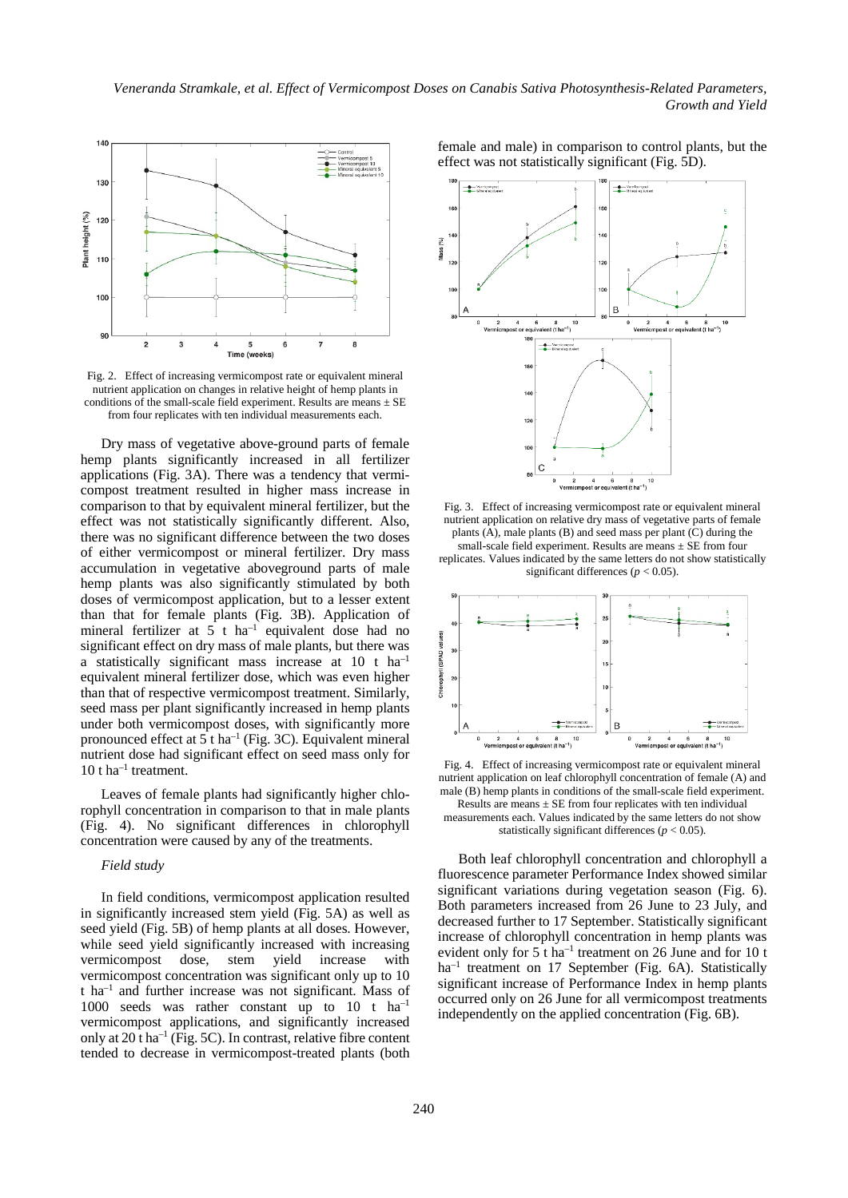*Veneranda Stramkale, et al. Effect of Vermicompost Doses on Canabis Sativa Photosynthesis-Related Parameters, Growth and Yield*



Fig. 2. Effect of increasing vermicompost rate or equivalent mineral nutrient application on changes in relative height of hemp plants in conditions of the small-scale field experiment. Results are means  $\pm$  SE from four replicates with ten individual measurements each.

Dry mass of vegetative above-ground parts of female hemp plants significantly increased in all fertilizer applications (Fig. 3A). There was a tendency that vermicompost treatment resulted in higher mass increase in comparison to that by equivalent mineral fertilizer, but the effect was not statistically significantly different. Also, there was no significant difference between the two doses of either vermicompost or mineral fertilizer. Dry mass accumulation in vegetative aboveground parts of male hemp plants was also significantly stimulated by both doses of vermicompost application, but to a lesser extent than that for female plants (Fig. 3B). Application of mineral fertilizer at  $5$  t ha<sup>-1</sup> equivalent dose had no significant effect on dry mass of male plants, but there was a statistically significant mass increase at 10 t ha–1 equivalent mineral fertilizer dose, which was even higher than that of respective vermicompost treatment. Similarly, seed mass per plant significantly increased in hemp plants under both vermicompost doses, with significantly more pronounced effect at  $5$  t ha<sup>-1</sup> (Fig. 3C). Equivalent mineral nutrient dose had significant effect on seed mass only for  $10$  t ha<sup>-1</sup> treatment.

Leaves of female plants had significantly higher chlorophyll concentration in comparison to that in male plants (Fig. 4). No significant differences in chlorophyll concentration were caused by any of the treatments.

#### *Field study*

In field conditions, vermicompost application resulted in significantly increased stem yield (Fig. 5A) as well as seed yield (Fig. 5B) of hemp plants at all doses. However, while seed yield significantly increased with increasing vermicompost dose, stem yield increase with vermicompost concentration was significant only up to 10 t ha–1 and further increase was not significant. Mass of 1000 seeds was rather constant up to  $10$  t  $ha^{-1}$ vermicompost applications, and significantly increased only at  $20$  t ha<sup>-1</sup> (Fig. 5C). In contrast, relative fibre content tended to decrease in vermicompost-treated plants (both

female and male) in comparison to control plants, but the effect was not statistically significant (Fig. 5D).



Fig. 3. Effect of increasing vermicompost rate or equivalent mineral nutrient application on relative dry mass of vegetative parts of female plants (A), male plants (B) and seed mass per plant (C) during the small-scale field experiment. Results are means  $\pm$  SE from four

replicates. Values indicated by the same letters do not show statistically significant differences (*p* < 0.05).



Fig. 4. Effect of increasing vermicompost rate or equivalent mineral nutrient application on leaf chlorophyll concentration of female (A) and male (B) hemp plants in conditions of the small-scale field experiment. Results are means  $\pm$  SE from four replicates with ten individual

measurements each. Values indicated by the same letters do not show statistically significant differences  $(p < 0.05)$ .

Both leaf chlorophyll concentration and chlorophyll a fluorescence parameter Performance Index showed similar significant variations during vegetation season (Fig. 6). Both parameters increased from 26 June to 23 July, and decreased further to 17 September. Statistically significant increase of chlorophyll concentration in hemp plants was evident only for  $5$  t ha<sup>-1</sup> treatment on 26 June and for 10 t ha<sup>-1</sup> treatment on 17 September (Fig. 6A). Statistically significant increase of Performance Index in hemp plants occurred only on 26 June for all vermicompost treatments independently on the applied concentration (Fig. 6B).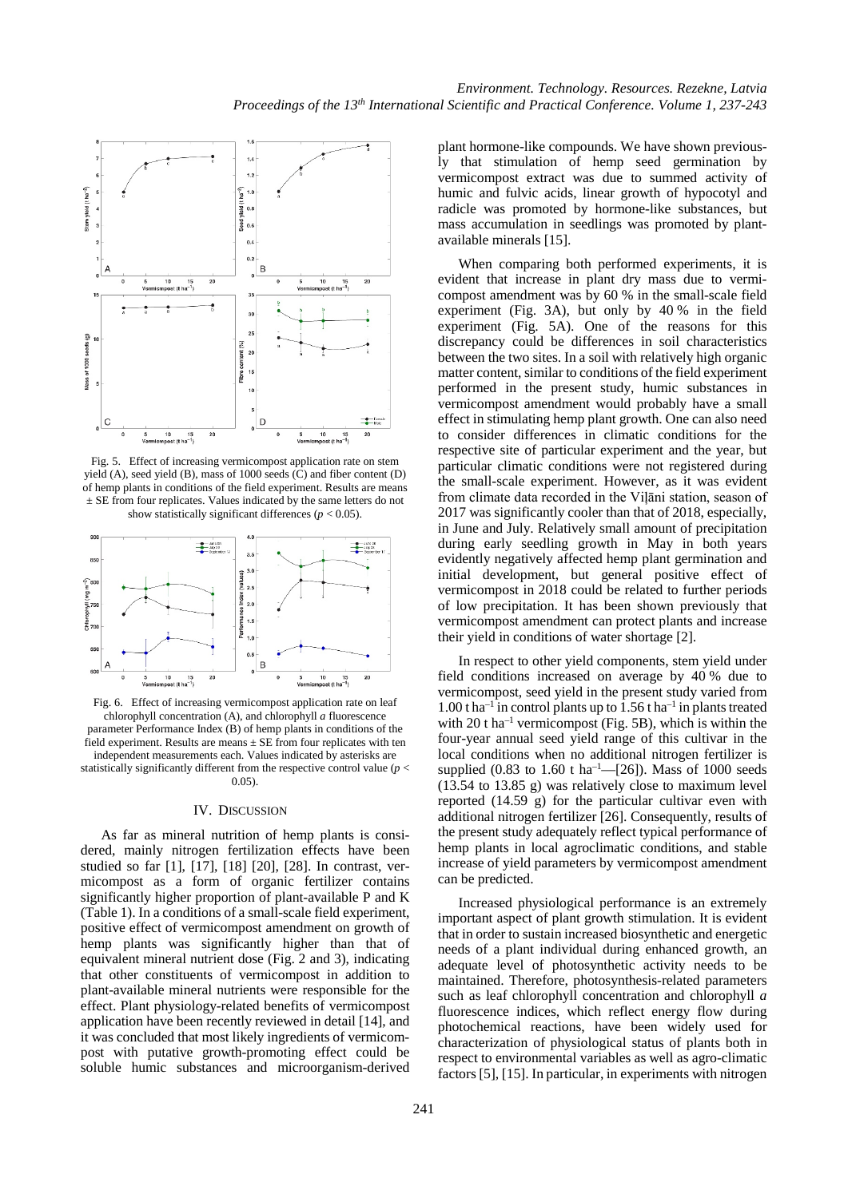

Fig. 5. Effect of increasing vermicompost application rate on stem yield (A), seed yield (B), mass of 1000 seeds (C) and fiber content (D) of hemp plants in conditions of the field experiment. Results are means ± SE from four replicates. Values indicated by the same letters do not show statistically significant differences  $(p < 0.05)$ .



Fig. 6. Effect of increasing vermicompost application rate on leaf chlorophyll concentration (A), and chlorophyll *a* fluorescence parameter Performance Index (B) of hemp plants in conditions of the field experiment. Results are means  $\pm$  SE from four replicates with ten independent measurements each. Values indicated by asterisks are statistically significantly different from the respective control value (*p* < 0.05).

#### IV. DISCUSSION

As far as mineral nutrition of hemp plants is considered, mainly nitrogen fertilization effects have been studied so far [1], [17], [18] [20], [28]. In contrast, vermicompost as a form of organic fertilizer contains significantly higher proportion of plant-available P and K (Table 1). In a conditions of a small-scale field experiment, positive effect of vermicompost amendment on growth of hemp plants was significantly higher than that of equivalent mineral nutrient dose (Fig. 2 and 3), indicating that other constituents of vermicompost in addition to plant-available mineral nutrients were responsible for the effect. Plant physiology-related benefits of vermicompost application have been recently reviewed in detail [14], and it was concluded that most likely ingredients of vermicompost with putative growth-promoting effect could be soluble humic substances and microorganism-derived

plant hormone-like compounds. We have shown previously that stimulation of hemp seed germination by vermicompost extract was due to summed activity of humic and fulvic acids, linear growth of hypocotyl and radicle was promoted by hormone-like substances, but mass accumulation in seedlings was promoted by plantavailable minerals [15].

When comparing both performed experiments, it is evident that increase in plant dry mass due to vermicompost amendment was by 60 % in the small-scale field experiment (Fig. 3A), but only by 40 % in the field experiment (Fig. 5A). One of the reasons for this discrepancy could be differences in soil characteristics between the two sites. In a soil with relatively high organic matter content, similar to conditions of the field experiment performed in the present study, humic substances in vermicompost amendment would probably have a small effect in stimulating hemp plant growth. One can also need to consider differences in climatic conditions for the respective site of particular experiment and the year, but particular climatic conditions were not registered during the small-scale experiment. However, as it was evident from climate data recorded in the Viļāni station, season of 2017 was significantly cooler than that of 2018, especially, in June and July. Relatively small amount of precipitation during early seedling growth in May in both years evidently negatively affected hemp plant germination and initial development, but general positive effect of vermicompost in 2018 could be related to further periods of low precipitation. It has been shown previously that vermicompost amendment can protect plants and increase their yield in conditions of water shortage [2].

In respect to other yield components, stem yield under field conditions increased on average by 40 % due to vermicompost, seed yield in the present study varied from 1.00 t ha<sup>-1</sup> in control plants up to  $1.56$  t ha<sup>-1</sup> in plants treated with 20 t ha<sup>-1</sup> vermicompost (Fig. 5B), which is within the four-year annual seed yield range of this cultivar in the local conditions when no additional nitrogen fertilizer is supplied (0.83 to 1.60 t ha–1 —[26]). Mass of 1000 seeds (13.54 to 13.85 g) was relatively close to maximum level reported (14.59 g) for the particular cultivar even with additional nitrogen fertilizer [26]. Consequently, results of the present study adequately reflect typical performance of hemp plants in local agroclimatic conditions, and stable increase of yield parameters by vermicompost amendment can be predicted.

Increased physiological performance is an extremely important aspect of plant growth stimulation. It is evident that in order to sustain increased biosynthetic and energetic needs of a plant individual during enhanced growth, an adequate level of photosynthetic activity needs to be maintained. Therefore, photosynthesis-related parameters such as leaf chlorophyll concentration and chlorophyll *a* fluorescence indices, which reflect energy flow during photochemical reactions, have been widely used for characterization of physiological status of plants both in respect to environmental variables as well as agro-climatic factors [5], [15]. In particular, in experiments with nitrogen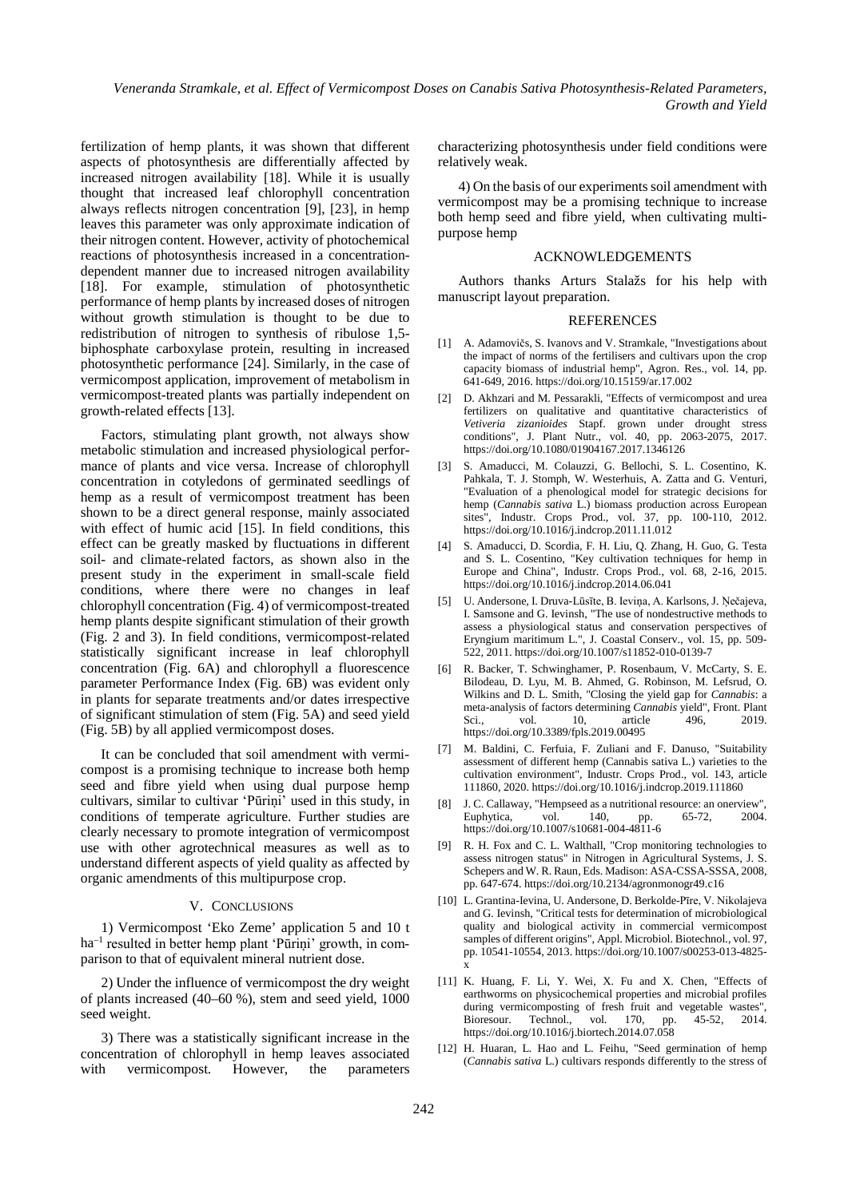*Veneranda Stramkale, et al. Effect of Vermicompost Doses on Canabis Sativa Photosynthesis-Related Parameters, Growth and Yield*

fertilization of hemp plants, it was shown that different aspects of photosynthesis are differentially affected by increased nitrogen availability [18]. While it is usually thought that increased leaf chlorophyll concentration always reflects nitrogen concentration [9], [23], in hemp leaves this parameter was only approximate indication of their nitrogen content. However, activity of photochemical reactions of photosynthesis increased in a concentrationdependent manner due to increased nitrogen availability [18]. For example, stimulation of photosynthetic performance of hemp plants by increased doses of nitrogen without growth stimulation is thought to be due to redistribution of nitrogen to synthesis of ribulose 1,5 biphosphate carboxylase protein, resulting in increased photosynthetic performance [24]. Similarly, in the case of vermicompost application, improvement of metabolism in vermicompost-treated plants was partially independent on growth-related effects [13].

Factors, stimulating plant growth, not always show metabolic stimulation and increased physiological performance of plants and vice versa. Increase of chlorophyll concentration in cotyledons of germinated seedlings of hemp as a result of vermicompost treatment has been shown to be a direct general response, mainly associated with effect of humic acid [15]. In field conditions, this effect can be greatly masked by fluctuations in different soil- and climate-related factors, as shown also in the present study in the experiment in small-scale field conditions, where there were no changes in leaf chlorophyll concentration (Fig. 4) of vermicompost-treated hemp plants despite significant stimulation of their growth (Fig. 2 and 3). In field conditions, vermicompost-related statistically significant increase in leaf chlorophyll concentration (Fig. 6A) and chlorophyll a fluorescence parameter Performance Index (Fig. 6B) was evident only in plants for separate treatments and/or dates irrespective of significant stimulation of stem (Fig. 5A) and seed yield (Fig. 5B) by all applied vermicompost doses.

It can be concluded that soil amendment with vermicompost is a promising technique to increase both hemp seed and fibre yield when using dual purpose hemp cultivars, similar to cultivar 'Pūriņi' used in this study, in conditions of temperate agriculture. Further studies are clearly necessary to promote integration of vermicompost use with other agrotechnical measures as well as to understand different aspects of yield quality as affected by organic amendments of this multipurpose crop.

#### V. CONCLUSIONS

1) Vermicompost 'Eko Zeme' application 5 and 10 t ha–1 resulted in better hemp plant 'Pūriņi' growth, in comparison to that of equivalent mineral nutrient dose.

2) Under the influence of vermicompost the dry weight of plants increased (40–60 %), stem and seed yield, 1000 seed weight.

3) There was a statistically significant increase in the concentration of chlorophyll in hemp leaves associated with vermicompost. However, the parameters characterizing photosynthesis under field conditions were relatively weak.

4) On the basis of our experiments soil amendment with vermicompost may be a promising technique to increase both hemp seed and fibre yield, when cultivating multipurpose hemp

# ACKNOWLEDGEMENTS

Authors thanks Arturs Stalažs for his help with manuscript layout preparation.

#### REFERENCES

- [1] A. Adamovičs, S. Ivanovs and V. Stramkale, "Investigations about the impact of norms of the fertilisers and cultivars upon the crop capacity biomass of industrial hemp", Agron. Res., vol. 14, pp. 641-649, 2016. https://doi.org/10.15159/ar.17.002
- [2] D. Akhzari and M. Pessarakli, "Effects of vermicompost and urea fertilizers on qualitative and quantitative characteristics of *Vetiveria zizanioides* Stapf. grown under drought stress conditions", J. Plant Nutr., vol. 40, pp. 2063-2075, 2017. https://doi.org/10.1080/01904167.2017.1346126
- [3] S. Amaducci, M. Colauzzi, G. Bellochi, S. L. Cosentino, K. Pahkala, T. J. Stomph, W. Westerhuis, A. Zatta and G. Venturi, "Evaluation of a phenological model for strategic decisions for hemp (*Cannabis sativa* L.) biomass production across European sites", Industr. Crops Prod., vol. 37, pp. 100-110, 2012. https://doi.org/10.1016/j.indcrop.2011.11.012
- [4] S. Amaducci, D. Scordia, F. H. Liu, Q. Zhang, H. Guo, G. Testa and S. L. Cosentino, "Key cultivation techniques for hemp in Europe and China", Industr. Crops Prod., vol. 68, 2-16, 2015. https://doi.org/10.1016/j.indcrop.2014.06.041
- [5] U. Andersone, I. Druva-Lūsīte, B. Ieviņa, A. Karlsons, J. Ņečajeva, I. Samsone and G. Ievinsh, "The use of nondestructive methods to assess a physiological status and conservation perspectives of Eryngium maritimum L.", J. Coastal Conserv., vol. 15, pp. 509- 522, 2011. https://doi.org/10.1007/s11852-010-0139-7
- [6] R. Backer, T. Schwinghamer, P. Rosenbaum, V. McCarty, S. E. Bilodeau, D. Lyu, M. B. Ahmed, G. Robinson, M. Lefsrud, O. Wilkins and D. L. Smith, "Closing the yield gap for *Cannabis*: a meta-analysis of factors determining *Cannabis* yield", Front. Plant<br>Sci... vol. 10. article 496. 2019. Sci., vol. 10, article 496, 2019. https://doi.org/10.3389/fpls.2019.00495
- [7] M. Baldini, C. Ferfuia, F. Zuliani and F. Danuso, "Suitability assessment of different hemp (Cannabis sativa L.) varieties to the cultivation environment", Industr. Crops Prod., vol. 143, article 111860, 2020. https://doi.org/10.1016/j.indcrop.2019.111860
- [8] J. C. Callaway, "Hempseed as a nutritional resource: an onerview", Euphytica, vol. 140, pp. 65-72, 2004. https://doi.org/10.1007/s10681-004-4811-6
- [9] R. H. Fox and C. L. Walthall, "Crop monitoring technologies to assess nitrogen status" in Nitrogen in Agricultural Systems, J. S. Schepers and W. R. Raun, Eds. Madison: ASA-CSSA-SSSA, 2008, pp. 647-674. https://doi.org/10.2134/agronmonogr49.c16
- [10] L. Grantina-Ievina, U. Andersone, D. Berkolde-Pīre, V. Nikolajeva and G. Ievinsh, "Critical tests for determination of microbiological quality and biological activity in commercial vermicompost samples of different origins", Appl. Microbiol. Biotechnol., vol. 97, pp. 10541-10554, 2013. https://doi.org/10.1007/s00253-013-4825 x
- [11] K. Huang, F. Li, Y. Wei, X. Fu and X. Chen, "Effects of earthworms on physicochemical properties and microbial profiles during vermicomposting of fresh fruit and vegetable wastes", Bioresour. Technol., vol. 170, pp. 45-52, 2014. https://doi.org/10.1016/j.biortech.2014.07.058
- [12] H. Huaran, L. Hao and L. Feihu, "Seed germination of hemp (*Cannabis sativa* L.) cultivars responds differently to the stress of